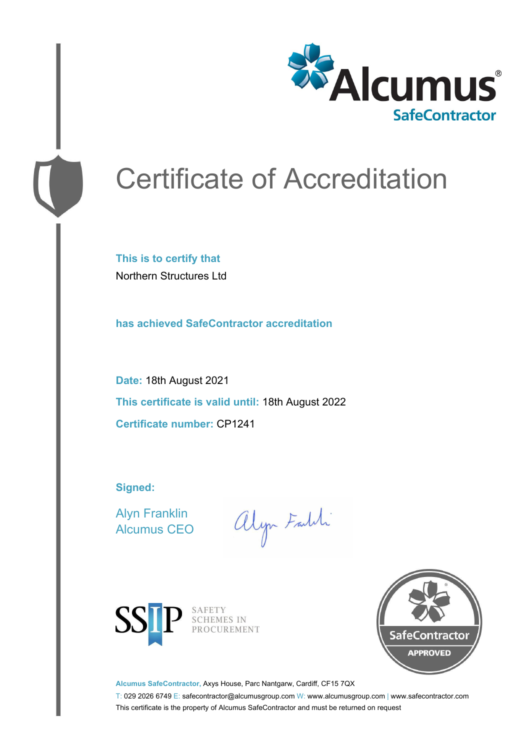

# Certificate of Accreditation

**This is to certify that** Northern Structures Ltd

**has achieved SafeContractor accreditation**

**Date:** 18th August 2021 **This certificate is valid until:** 18th August 2022 **Certificate number:** CP1241

**Signed:**

Alyn Franklin Alcumus CEO

alyn Faith



SAFETY<br>SCHEMES IN PROCUREMENT



**Alcumus SafeContractor,** Axys House, Parc Nantgarw, Cardiff, CF15 7QX

T: 029 2026 6749 E: safecontractor@alcumusgroup.com W: www.alcumusgroup.com | www.safecontractor.com This certificate is the property of Alcumus SafeContractor and must be returned on request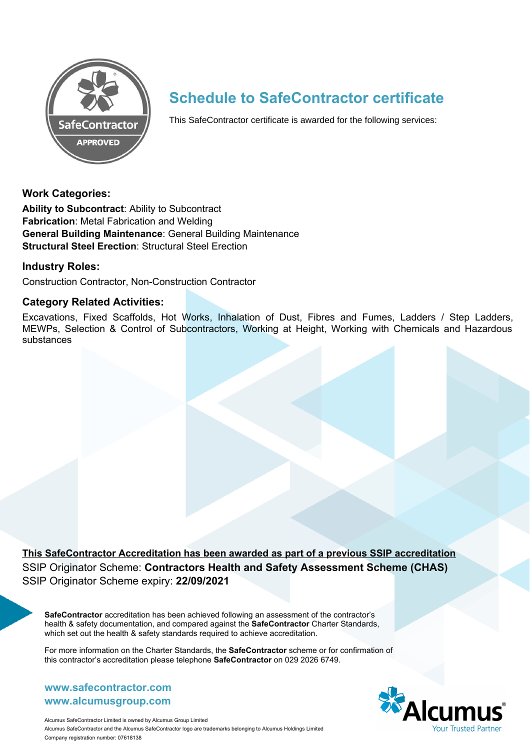

## **Schedule to SafeContractor certificate**

This SafeContractor certificate is awarded for the following services:

#### **Work Categories:**

**Ability to Subcontract**: Ability to Subcontract **Fabrication**: Metal Fabrication and Welding **General Building Maintenance**: General Building Maintenance **Structural Steel Erection**: Structural Steel Erection

#### **Industry Roles:**

Construction Contractor, Non-Construction Contractor

#### **Category Related Activities:**

Excavations, Fixed Scaffolds, Hot Works, Inhalation of Dust, Fibres and Fumes, Ladders / Step Ladders, MEWPs, Selection & Control of Subcontractors, Working at Height, Working with Chemicals and Hazardous substances

**This SafeContractor Accreditation has been awarded as part of a previous SSIP accreditation** SSIP Originator Scheme: **Contractors Health and Safety Assessment Scheme (CHAS)** SSIP Originator Scheme expiry: **22/09/2021**

**SafeContractor** accreditation has been achieved following an assessment of the contractor's health & safety documentation, and compared against the **SafeContractor** Charter Standards, which set out the health & safety standards required to achieve accreditation.

For more information on the Charter Standards, the **SafeContractor** scheme or for confirmation of this contractor's accreditation please telephone **SafeContractor** on 029 2026 6749.

#### **www.alcumusgroup.com www.safecontractor.com**



Alcumus SafeContractor Limited is owned by Alcumus Group Limited Alcumus SafeContractor and the Alcumus SafeContractor logo are trademarks belonging to Alcumus Holdings Limited Company registration number: 07618138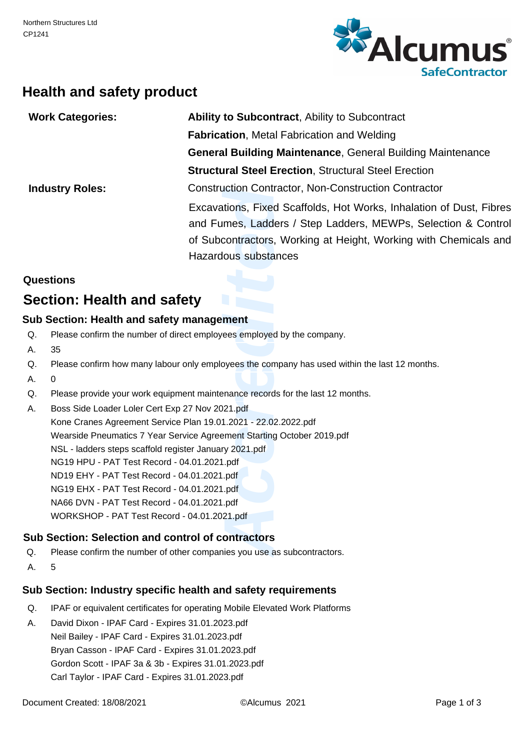

## **Health and safety product**

| <b>Work Categories:</b> | <b>Ability to Subcontract, Ability to Subcontract</b>               |
|-------------------------|---------------------------------------------------------------------|
|                         | <b>Fabrication, Metal Fabrication and Welding</b>                   |
|                         | <b>General Building Maintenance, General Building Maintenance</b>   |
|                         | <b>Structural Steel Erection, Structural Steel Erection</b>         |
| <b>Industry Roles:</b>  | <b>Construction Contractor, Non-Construction Contractor</b>         |
|                         | Excavations, Fixed Scaffolds, Hot Works, Inhalation of Dust, Fibres |
|                         | and Fumes, Ladders / Step Ladders, MEWPs, Selection & Control       |
|                         | of Subcontractors, Working at Height, Working with Chemicals and    |
|                         | Hazardous substances                                                |

#### **Questions**

## **Section: Health and safety**

#### **Sub Section: Health and safety management**

- Please confirm the number of direct employees employed by the company. Q.
- 35 A.
- Please confirm how many labour only employees the company has used within the last 12 months. Q.
- $\Omega$ A.
- Please provide your work equipment maintenance records for the last 12 months. Q.
- Boss Side Loader Loler Cert Exp 27 Nov 2021.pdf A.

uction Contractor, Notions, Fixed Scaffold<br>
Imes, Ladders / Stel<br>
contractors, Working<br>
lous substances<br> **ment**<br>
rees employed by the co<br>
oyees the company has<br>
panance records for the la<br>
121.pdf<br>
1.2021 - 22.02.2022.pdf<br> Kone Cranes Agreement Service Plan 19.01.2021 - 22.02.2022.pdf Wearside Pneumatics 7 Year Service Agreement Starting October 2019.pdf NSL - ladders steps scaffold register January 2021.pdf NG19 HPU - PAT Test Record - 04.01.2021.pdf ND19 EHY - PAT Test Record - 04.01.2021.pdf NG19 EHX - PAT Test Record - 04.01.2021.pdf NA66 DVN - PAT Test Record - 04.01.2021.pdf WORKSHOP - PAT Test Record - 04.01.2021.pdf

#### **Sub Section: Selection and control of contractors**

- Please confirm the number of other companies you use as subcontractors. Q.
- A. 5

#### **Sub Section: Industry specific health and safety requirements**

- IPAF or equivalent certificates for operating Mobile Elevated Work Platforms Q.
- David Dixon IPAF Card Expires 31.01.2023.pdf Neil Bailey - IPAF Card - Expires 31.01.2023.pdf Bryan Casson - IPAF Card - Expires 31.01.2023.pdf Gordon Scott - IPAF 3a & 3b - Expires 31.01.2023.pdf Carl Taylor - IPAF Card - Expires 31.01.2023.pdf A.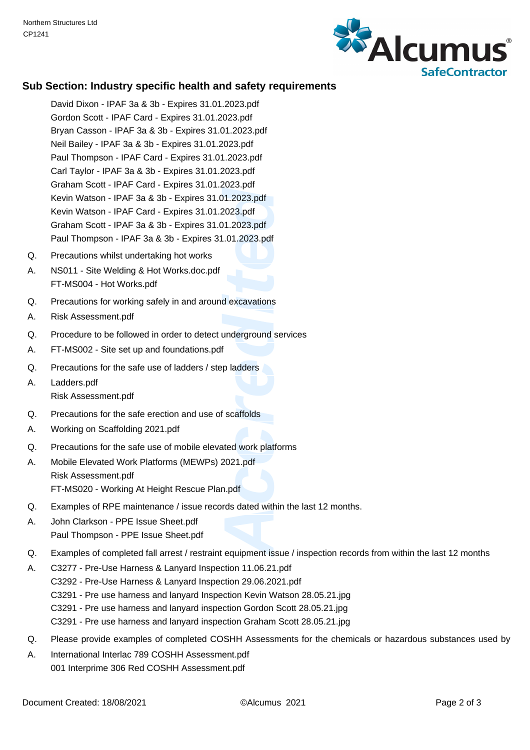

#### **Sub Section: Industry specific health and safety requirements**

- 2023.pdf<br>
11.2023.pdf<br>
2023.pdf<br>
1.01.2023.pdf<br>
1.01.2023.pdf<br>
dexcavations<br>
underground services<br>
f<br>
p ladders<br>
f<br>
scaffolds<br>
ated work platforms<br>
2021.pdf<br>
n.pdf<br>
rds dated within the last<br>
equipment issue / inspe David Dixon - IPAF 3a & 3b - Expires 31.01.2023.pdf Gordon Scott - IPAF Card - Expires 31.01.2023.pdf Bryan Casson - IPAF 3a & 3b - Expires 31.01.2023.pdf Neil Bailey - IPAF 3a & 3b - Expires 31.01.2023.pdf Paul Thompson - IPAF Card - Expires 31.01.2023.pdf Carl Taylor - IPAF 3a & 3b - Expires 31.01.2023.pdf Graham Scott - IPAF Card - Expires 31.01.2023.pdf Kevin Watson - IPAF 3a & 3b - Expires 31.01.2023.pdf Kevin Watson - IPAF Card - Expires 31.01.2023.pdf Graham Scott - IPAF 3a & 3b - Expires 31.01.2023.pdf Paul Thompson - IPAF 3a & 3b - Expires 31.01.2023.pdf
- Precautions whilst undertaking hot works Q.
- NS011 Site Welding & Hot Works.doc.pdf FT-MS004 - Hot Works.pdf A.
- Precautions for working safely in and around excavations  $\Omega$ .
- A. Risk Assessment.pdf
- Procedure to be followed in order to detect underground services Q.
- A. FT-MS002 Site set up and foundations.pdf
- Precautions for the safe use of ladders / step ladders  $\Omega$
- Ladders.pdf Risk Assessment.pdf A.
- Precautions for the safe erection and use of scaffolds Q.
- A. Working on Scaffolding 2021.pdf
- Precautions for the safe use of mobile elevated work platforms Q.
- Mobile Elevated Work Platforms (MEWPs) 2021.pdf Risk Assessment.pdf FT-MS020 - Working At Height Rescue Plan.pdf A.
- Examples of RPE maintenance / issue records dated within the last 12 months. Q.
- John Clarkson PPE Issue Sheet.pdf Paul Thompson - PPE Issue Sheet.pdf A.
- Examples of completed fall arrest / restraint equipment issue / inspection records from within the last 12 months  $\Omega$ .
- C3277 Pre-Use Harness & Lanyard Inspection 11.06.21.pdf C3292 - Pre-Use Harness & Lanyard Inspection 29.06.2021.pdf C3291 - Pre use harness and lanyard Inspection Kevin Watson 28.05.21.jpg C3291 - Pre use harness and lanyard inspection Gordon Scott 28.05.21.jpg C3291 - Pre use harness and lanyard inspection Graham Scott 28.05.21.jpg A.
- Please provide examples of completed COSHH Assessments for the chemicals or hazardous substances used by Q.
- International Interlac 789 COSHH Assessment.pdf 001 Interprime 306 Red COSHH Assessment.pdf A.